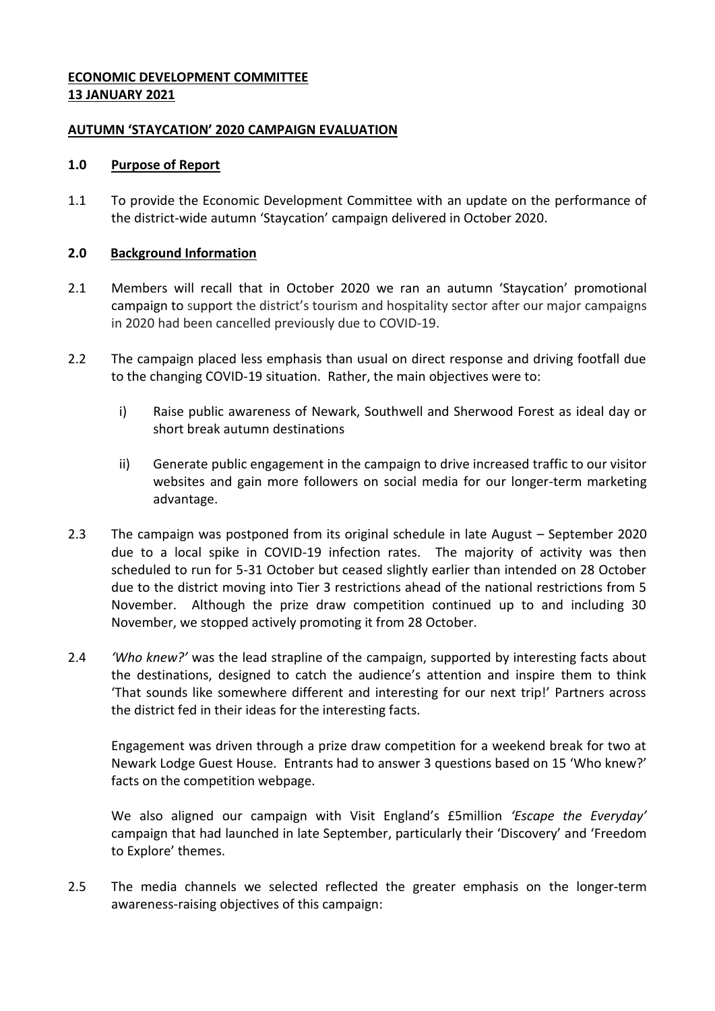# **ECONOMIC DEVELOPMENT COMMITTEE 13 JANUARY 2021**

### **AUTUMN 'STAYCATION' 2020 CAMPAIGN EVALUATION**

#### **1.0 Purpose of Report**

1.1 To provide the Economic Development Committee with an update on the performance of the district-wide autumn 'Staycation' campaign delivered in October 2020.

#### **2.0 Background Information**

- 2.1 Members will recall that in October 2020 we ran an autumn 'Staycation' promotional campaign to support the district's tourism and hospitality sector after our major campaigns in 2020 had been cancelled previously due to COVID-19.
- 2.2 The campaign placed less emphasis than usual on direct response and driving footfall due to the changing COVID-19 situation. Rather, the main objectives were to:
	- i) Raise public awareness of Newark, Southwell and Sherwood Forest as ideal day or short break autumn destinations
	- ii) Generate public engagement in the campaign to drive increased traffic to our visitor websites and gain more followers on social media for our longer-term marketing advantage.
- 2.3 The campaign was postponed from its original schedule in late August September 2020 due to a local spike in COVID-19 infection rates. The majority of activity was then scheduled to run for 5-31 October but ceased slightly earlier than intended on 28 October due to the district moving into Tier 3 restrictions ahead of the national restrictions from 5 November. Although the prize draw competition continued up to and including 30 November, we stopped actively promoting it from 28 October.
- 2.4 *'Who knew?'* was the lead strapline of the campaign, supported by interesting facts about the destinations, designed to catch the audience's attention and inspire them to think 'That sounds like somewhere different and interesting for our next trip!' Partners across the district fed in their ideas for the interesting facts.

Engagement was driven through a prize draw competition for a weekend break for two at Newark Lodge Guest House. Entrants had to answer 3 questions based on 15 'Who knew?' facts on the competition webpage.

We also aligned our campaign with Visit England's £5million *'Escape the Everyday'* campaign that had launched in late September, particularly their 'Discovery' and 'Freedom to Explore' themes.

2.5 The media channels we selected reflected the greater emphasis on the longer-term awareness-raising objectives of this campaign: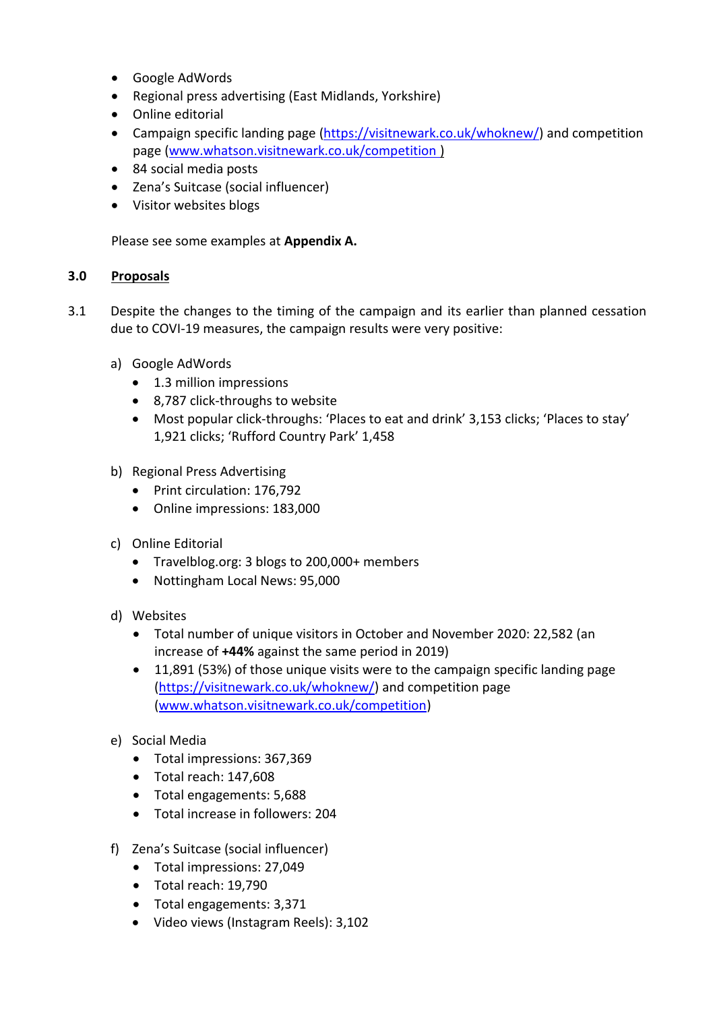- Google AdWords
- Regional press advertising (East Midlands, Yorkshire)
- Online editorial
- Campaign specific landing page [\(https://visitnewark.co.uk/whoknew/\)](https://visitnewark.co.uk/whoknew/) and competition page [\(www.whatson.visitnewark.co.uk/competition](http://www.whatson.visitnewark.co.uk/competition) )
- 84 social media posts
- Zena's Suitcase (social influencer)
- Visitor websites blogs

Please see some examples at **Appendix A.**

### **3.0 Proposals**

- 3.1 Despite the changes to the timing of the campaign and its earlier than planned cessation due to COVI-19 measures, the campaign results were very positive:
	- a) Google AdWords
		- 1.3 million impressions
		- 8,787 click-throughs to website
		- Most popular click-throughs: 'Places to eat and drink' 3,153 clicks; 'Places to stay' 1,921 clicks; 'Rufford Country Park' 1,458
	- b) Regional Press Advertising
		- Print circulation: 176,792
		- Online impressions: 183,000
	- c) Online Editorial
		- Travelblog.org: 3 blogs to 200,000+ members
		- Nottingham Local News: 95,000
	- d) Websites
		- Total number of unique visitors in October and November 2020: 22,582 (an increase of **+44%** against the same period in 2019)
		- 11,891 (53%) of those unique visits were to the campaign specific landing page [\(https://visitnewark.co.uk/whoknew/\)](https://visitnewark.co.uk/whoknew/) and competition page [\(www.whatson.visitnewark.co.uk/competition\)](http://www.whatson.visitnewark.co.uk/competition)
	- e) Social Media
		- Total impressions: 367,369
		- Total reach: 147,608
		- Total engagements: 5,688
		- Total increase in followers: 204
	- f) Zena's Suitcase (social influencer)
		- Total impressions: 27,049
		- Total reach: 19,790
		- Total engagements: 3,371
		- Video views (Instagram Reels): 3,102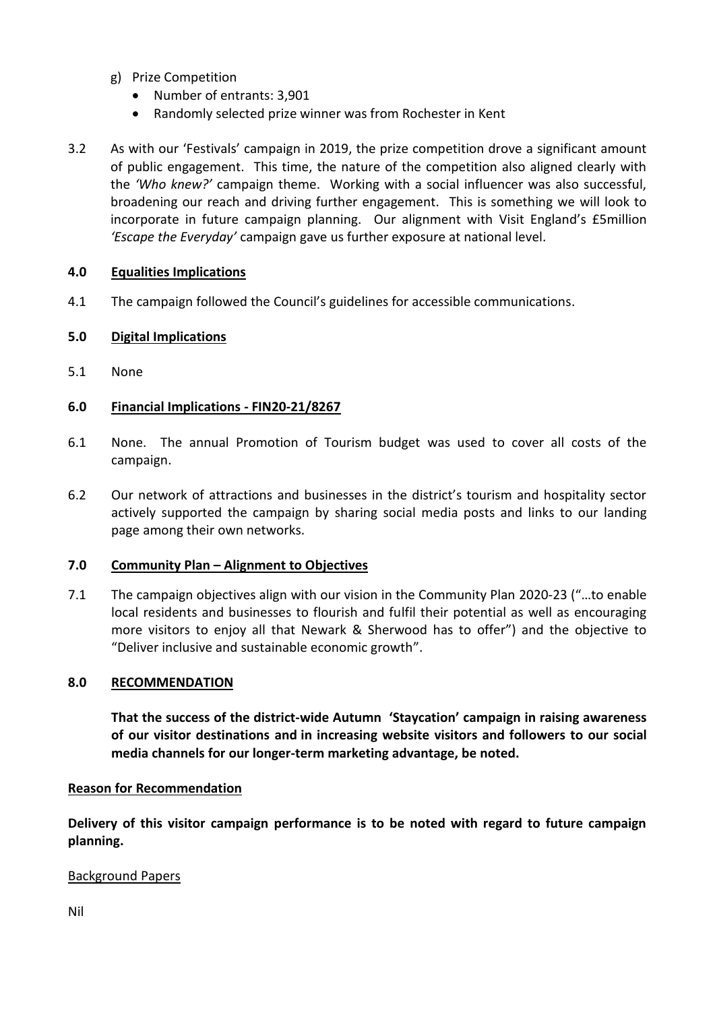- g) Prize Competition
	- Number of entrants: 3,901
	- Randomly selected prize winner was from Rochester in Kent
- 3.2 As with our 'Festivals' campaign in 2019, the prize competition drove a significant amount of public engagement. This time, the nature of the competition also aligned clearly with the *'Who knew?'* campaign theme. Working with a social influencer was also successful, broadening our reach and driving further engagement. This is something we will look to incorporate in future campaign planning. Our alignment with Visit England's £5million *'Escape the Everyday'* campaign gave us further exposure at national level.

## **4.0 Equalities Implications**

4.1 The campaign followed the Council's guidelines for accessible communications.

## **5.0 Digital Implications**

5.1 None

## **6.0 Financial Implications - FIN20-21/8267**

- 6.1 None. The annual Promotion of Tourism budget was used to cover all costs of the campaign.
- 6.2 Our network of attractions and businesses in the district's tourism and hospitality sector actively supported the campaign by sharing social media posts and links to our landing page among their own networks.

### **7.0 Community Plan – Alignment to Objectives**

7.1 The campaign objectives align with our vision in the Community Plan 2020-23 ("…to enable local residents and businesses to flourish and fulfil their potential as well as encouraging more visitors to enjoy all that Newark & Sherwood has to offer") and the objective to "Deliver inclusive and sustainable economic growth".

### **8.0 RECOMMENDATION**

**That the success of the district-wide Autumn 'Staycation' campaign in raising awareness of our visitor destinations and in increasing website visitors and followers to our social media channels for our longer-term marketing advantage, be noted.**

### **Reason for Recommendation**

**Delivery of this visitor campaign performance is to be noted with regard to future campaign planning.**

### Background Papers

Nil